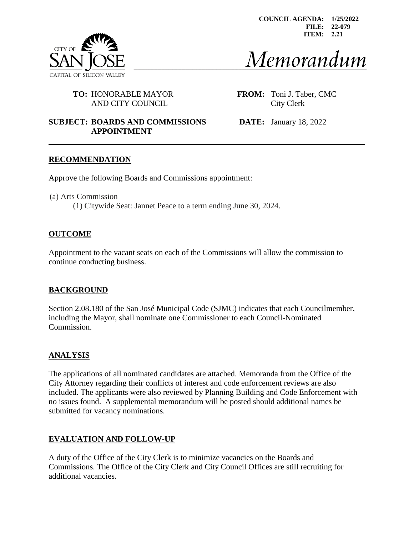

**COUNCIL AGENDA: 1/25/2022 FILE: 22-079 ITEM: 2.21**

# Memorandum

## **TO:** HONORABLE MAYOR **FROM:** Toni J. Taber, CMC AND CITY COUNCIL City Clerk

# **SUBJECT: BOARDS AND COMMISSIONS DATE:** January 18, 2022 **APPOINTMENT**

## **RECOMMENDATION**

Approve the following Boards and Commissions appointment:

(a) Arts Commission (1) Citywide Seat: Jannet Peace to a term ending June 30, 2024.

## **OUTCOME**

Appointment to the vacant seats on each of the Commissions will allow the commission to continue conducting business.

## **BACKGROUND**

Section 2.08.180 of the San José Municipal Code (SJMC) indicates that each Councilmember, including the Mayor, shall nominate one Commissioner to each Council-Nominated Commission.

## **ANALYSIS**

The applications of all nominated candidates are attached. Memoranda from the Office of the City Attorney regarding their conflicts of interest and code enforcement reviews are also included. The applicants were also reviewed by Planning Building and Code Enforcement with no issues found. A supplemental memorandum will be posted should additional names be submitted for vacancy nominations.

## **EVALUATION AND FOLLOW-UP**

A duty of the Office of the City Clerk is to minimize vacancies on the Boards and Commissions. The Office of the City Clerk and City Council Offices are still recruiting for additional vacancies.